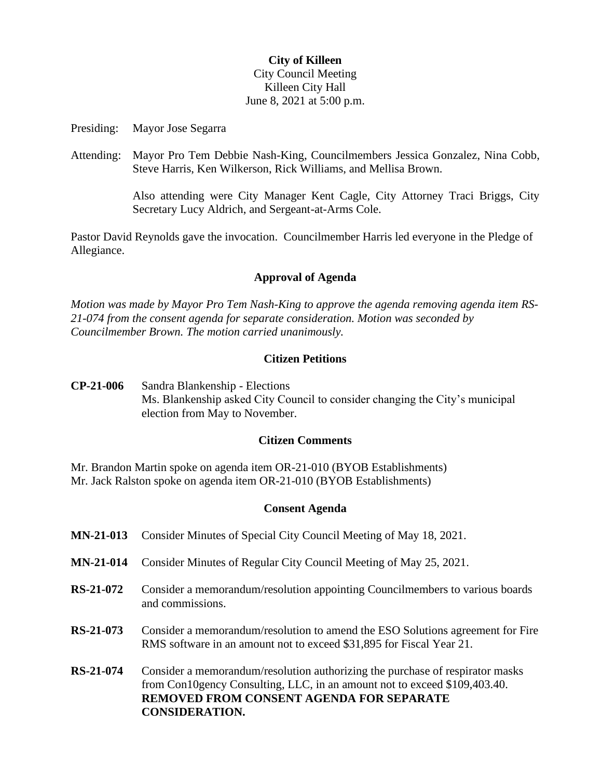## **City of Killeen** City Council Meeting Killeen City Hall June 8, 2021 at 5:00 p.m.

Presiding: Mayor Jose Segarra

Attending: Mayor Pro Tem Debbie Nash-King, Councilmembers Jessica Gonzalez, Nina Cobb, Steve Harris, Ken Wilkerson, Rick Williams, and Mellisa Brown.

> Also attending were City Manager Kent Cagle, City Attorney Traci Briggs, City Secretary Lucy Aldrich, and Sergeant-at-Arms Cole.

Pastor David Reynolds gave the invocation. Councilmember Harris led everyone in the Pledge of Allegiance.

#### **Approval of Agenda**

*Motion was made by Mayor Pro Tem Nash-King to approve the agenda removing agenda item RS-21-074 from the consent agenda for separate consideration. Motion was seconded by Councilmember Brown. The motion carried unanimously.*

#### **Citizen Petitions**

**CP-21-006** Sandra Blankenship - Elections Ms. Blankenship asked City Council to consider changing the City's municipal election from May to November.

### **Citizen Comments**

Mr. Brandon Martin spoke on agenda item OR-21-010 (BYOB Establishments) Mr. Jack Ralston spoke on agenda item OR-21-010 (BYOB Establishments)

#### **Consent Agenda**

**MN-21-013** Consider Minutes of Special City Council Meeting of May 18, 2021. **MN-21-014** Consider Minutes of Regular City Council Meeting of May 25, 2021. **RS-21-072** Consider a memorandum/resolution appointing Councilmembers to various boards and commissions. **RS-21-073** Consider a memorandum/resolution to amend the ESO Solutions agreement for Fire RMS software in an amount not to exceed \$31,895 for Fiscal Year 21. **RS-21-074** Consider a memorandum/resolution authorizing the purchase of respirator masks from Con10gency Consulting, LLC, in an amount not to exceed \$109,403.40. **REMOVED FROM CONSENT AGENDA FOR SEPARATE CONSIDERATION.**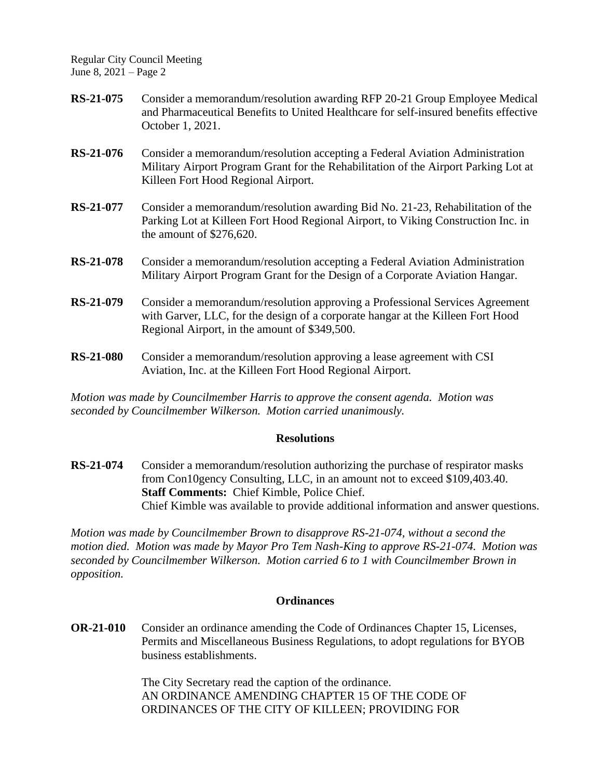Regular City Council Meeting June 8, 2021 – Page 2

- **RS-21-075** Consider a memorandum/resolution awarding RFP 20-21 Group Employee Medical and Pharmaceutical Benefits to United Healthcare for self-insured benefits effective October 1, 2021.
- **RS-21-076** Consider a memorandum/resolution accepting a Federal Aviation Administration Military Airport Program Grant for the Rehabilitation of the Airport Parking Lot at Killeen Fort Hood Regional Airport.
- **RS-21-077** Consider a memorandum/resolution awarding Bid No. 21-23, Rehabilitation of the Parking Lot at Killeen Fort Hood Regional Airport, to Viking Construction Inc. in the amount of \$276,620.
- **RS-21-078** Consider a memorandum/resolution accepting a Federal Aviation Administration Military Airport Program Grant for the Design of a Corporate Aviation Hangar.
- **RS-21-079** Consider a memorandum/resolution approving a Professional Services Agreement with Garver, LLC, for the design of a corporate hangar at the Killeen Fort Hood Regional Airport, in the amount of \$349,500.
- **RS-21-080** Consider a memorandum/resolution approving a lease agreement with CSI Aviation, Inc. at the Killeen Fort Hood Regional Airport.

*Motion was made by Councilmember Harris to approve the consent agenda. Motion was seconded by Councilmember Wilkerson. Motion carried unanimously.*

## **Resolutions**

**RS-21-074** Consider a memorandum/resolution authorizing the purchase of respirator masks from Con10gency Consulting, LLC, in an amount not to exceed \$109,403.40. **Staff Comments:** Chief Kimble, Police Chief. Chief Kimble was available to provide additional information and answer questions.

*Motion was made by Councilmember Brown to disapprove RS-21-074, without a second the motion died. Motion was made by Mayor Pro Tem Nash-King to approve RS-21-074. Motion was seconded by Councilmember Wilkerson. Motion carried 6 to 1 with Councilmember Brown in opposition.*

## **Ordinances**

**OR-21-010** Consider an ordinance amending the Code of Ordinances Chapter 15, Licenses, Permits and Miscellaneous Business Regulations, to adopt regulations for BYOB business establishments.

> The City Secretary read the caption of the ordinance. AN ORDINANCE AMENDING CHAPTER 15 OF THE CODE OF ORDINANCES OF THE CITY OF KILLEEN; PROVIDING FOR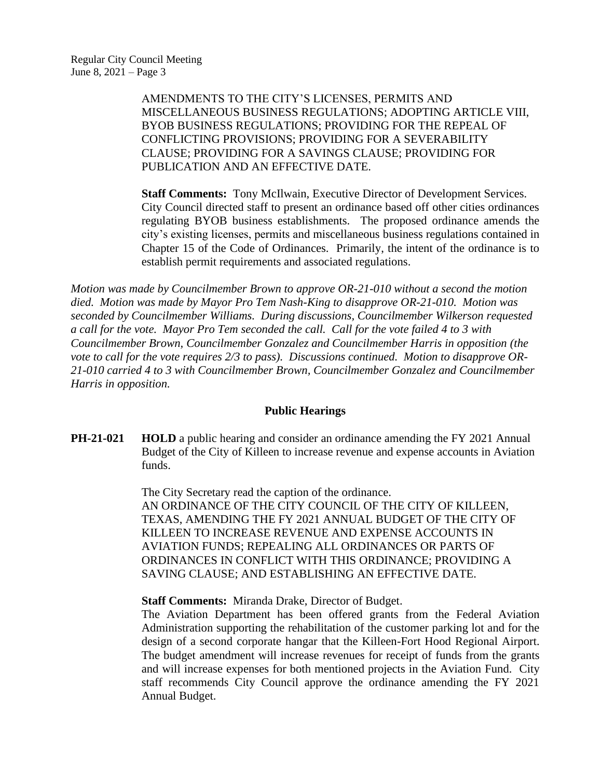AMENDMENTS TO THE CITY'S LICENSES, PERMITS AND MISCELLANEOUS BUSINESS REGULATIONS; ADOPTING ARTICLE VIII, BYOB BUSINESS REGULATIONS; PROVIDING FOR THE REPEAL OF CONFLICTING PROVISIONS; PROVIDING FOR A SEVERABILITY CLAUSE; PROVIDING FOR A SAVINGS CLAUSE; PROVIDING FOR PUBLICATION AND AN EFFECTIVE DATE.

**Staff Comments:** Tony McIlwain, Executive Director of Development Services. City Council directed staff to present an ordinance based off other cities ordinances regulating BYOB business establishments. The proposed ordinance amends the city's existing licenses, permits and miscellaneous business regulations contained in Chapter 15 of the Code of Ordinances. Primarily, the intent of the ordinance is to establish permit requirements and associated regulations.

*Motion was made by Councilmember Brown to approve OR-21-010 without a second the motion died. Motion was made by Mayor Pro Tem Nash-King to disapprove OR-21-010. Motion was seconded by Councilmember Williams. During discussions, Councilmember Wilkerson requested a call for the vote. Mayor Pro Tem seconded the call. Call for the vote failed 4 to 3 with Councilmember Brown, Councilmember Gonzalez and Councilmember Harris in opposition (the vote to call for the vote requires 2/3 to pass). Discussions continued. Motion to disapprove OR-21-010 carried 4 to 3 with Councilmember Brown, Councilmember Gonzalez and Councilmember Harris in opposition.*

## **Public Hearings**

**PH-21-021 HOLD** a public hearing and consider an ordinance amending the FY 2021 Annual Budget of the City of Killeen to increase revenue and expense accounts in Aviation funds.

> The City Secretary read the caption of the ordinance. AN ORDINANCE OF THE CITY COUNCIL OF THE CITY OF KILLEEN, TEXAS, AMENDING THE FY 2021 ANNUAL BUDGET OF THE CITY OF KILLEEN TO INCREASE REVENUE AND EXPENSE ACCOUNTS IN AVIATION FUNDS; REPEALING ALL ORDINANCES OR PARTS OF ORDINANCES IN CONFLICT WITH THIS ORDINANCE; PROVIDING A SAVING CLAUSE; AND ESTABLISHING AN EFFECTIVE DATE.

**Staff Comments:** Miranda Drake, Director of Budget.

The Aviation Department has been offered grants from the Federal Aviation Administration supporting the rehabilitation of the customer parking lot and for the design of a second corporate hangar that the Killeen-Fort Hood Regional Airport. The budget amendment will increase revenues for receipt of funds from the grants and will increase expenses for both mentioned projects in the Aviation Fund. City staff recommends City Council approve the ordinance amending the FY 2021 Annual Budget.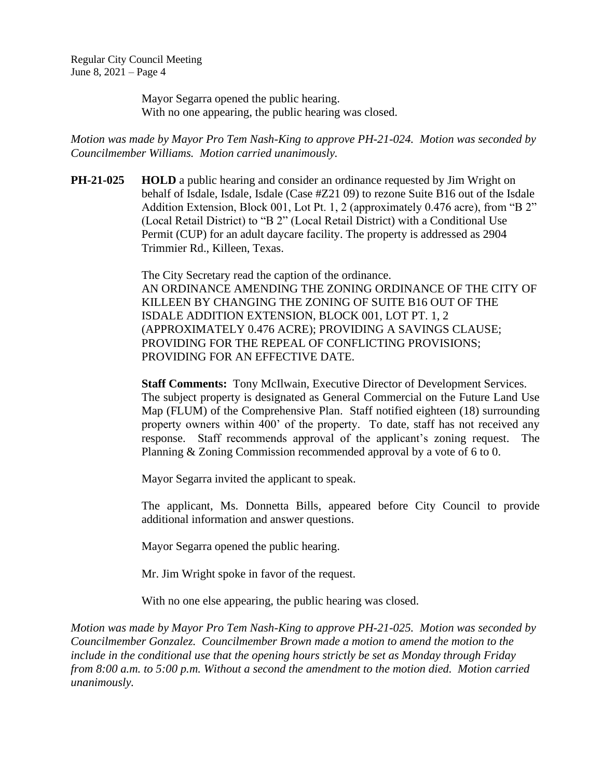Mayor Segarra opened the public hearing. With no one appearing, the public hearing was closed.

*Motion was made by Mayor Pro Tem Nash-King to approve PH-21-024. Motion was seconded by Councilmember Williams. Motion carried unanimously.*

**PH-21-025 • HOLD** a public hearing and consider an ordinance requested by Jim Wright on behalf of Isdale, Isdale, Isdale (Case #Z21 09) to rezone Suite B16 out of the Isdale Addition Extension, Block 001, Lot Pt. 1, 2 (approximately 0.476 acre), from "B 2" (Local Retail District) to "B 2" (Local Retail District) with a Conditional Use Permit (CUP) for an adult daycare facility. The property is addressed as 2904 Trimmier Rd., Killeen, Texas.

> The City Secretary read the caption of the ordinance. AN ORDINANCE AMENDING THE ZONING ORDINANCE OF THE CITY OF KILLEEN BY CHANGING THE ZONING OF SUITE B16 OUT OF THE ISDALE ADDITION EXTENSION, BLOCK 001, LOT PT. 1, 2 (APPROXIMATELY 0.476 ACRE); PROVIDING A SAVINGS CLAUSE; PROVIDING FOR THE REPEAL OF CONFLICTING PROVISIONS; PROVIDING FOR AN EFFECTIVE DATE.

> **Staff Comments:** Tony McIlwain, Executive Director of Development Services. The subject property is designated as General Commercial on the Future Land Use Map (FLUM) of the Comprehensive Plan. Staff notified eighteen (18) surrounding property owners within 400' of the property. To date, staff has not received any response. Staff recommends approval of the applicant's zoning request. The Planning & Zoning Commission recommended approval by a vote of 6 to 0.

Mayor Segarra invited the applicant to speak.

The applicant, Ms. Donnetta Bills, appeared before City Council to provide additional information and answer questions.

Mayor Segarra opened the public hearing.

Mr. Jim Wright spoke in favor of the request.

With no one else appearing, the public hearing was closed.

*Motion was made by Mayor Pro Tem Nash-King to approve PH-21-025. Motion was seconded by Councilmember Gonzalez. Councilmember Brown made a motion to amend the motion to the include in the conditional use that the opening hours strictly be set as Monday through Friday from 8:00 a.m. to 5:00 p.m. Without a second the amendment to the motion died. Motion carried unanimously.*